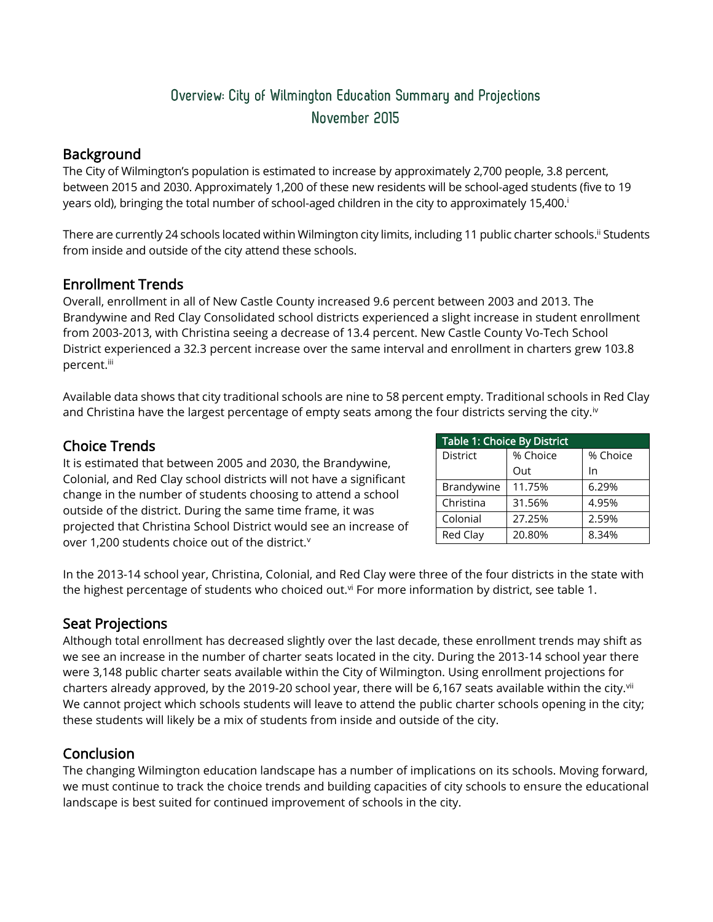# Overview: City of Wilmington Education Summary and Projections November 2015

#### **Background**

The City of Wilmington's population is estimated to increase by approximately 2,700 people, 3.8 percent, between 2015 and 2030. Approximately 1,200 of these new residents will be school-aged students (five to 19 years old), bringing the total number of school-aged children in the city to approximately 15,400. i

There are currently 24 schools located within Wilmington city limits, including 11 public charter schools." Students from inside and outside of the city attend these schools.

## Enrollment Trends

Overall, enrollment in all of New Castle County increased 9.6 percent between 2003 and 2013. The Brandywine and Red Clay Consolidated school districts experienced a slight increase in student enrollment from 2003-2013, with Christina seeing a decrease of 13.4 percent. New Castle County Vo-Tech School District experienced a 32.3 percent increase over the same interval and enrollment in charters grew 103.8 percent.<sup>iii</sup>

Available data shows that city traditional schools are nine to 58 percent empty. Traditional schools in Red Clay and Christina have the largest percentage of empty seats among the four districts serving the city.<sup>iv</sup>

## Choice Trends

It is estimated that between 2005 and 2030, the Brandywine, Colonial, and Red Clay school districts will not have a significant change in the number of students choosing to attend a school outside of the district. During the same time frame, it was projected that Christina School District would see an increase of over 1,200 students choice out of the district.<sup>v</sup>

| Table 1: Choice By District |          |          |
|-----------------------------|----------|----------|
| <b>District</b>             | % Choice | % Choice |
|                             | Out      | In       |
| Brandywine                  | 11.75%   | 6.29%    |
| Christina                   | 31.56%   | 4.95%    |
| Colonial                    | 27.25%   | 2.59%    |
| Red Clay                    | 20.80%   | 8.34%    |

In the 2013-14 school year, Christina, Colonial, and Red Clay were three of the four districts in the state with the highest percentage of students who choiced out.<sup>vi</sup> For more information by district, see table 1.

## Seat Projections

Although total enrollment has decreased slightly over the last decade, these enrollment trends may shift as we see an increase in the number of charter seats located in the city. During the 2013-14 school year there were 3,148 public charter seats available within the City of Wilmington. Using enrollment projections for charters already approved, by the 2019-20 school year, there will be 6,167 seats available within the city.<sup>vii</sup> We cannot project which schools students will leave to attend the public charter schools opening in the city; these students will likely be a mix of students from inside and outside of the city.

## Conclusion

The changing Wilmington education landscape has a number of implications on its schools. Moving forward, we must continue to track the choice trends and building capacities of city schools to ensure the educational landscape is best suited for continued improvement of schools in the city.